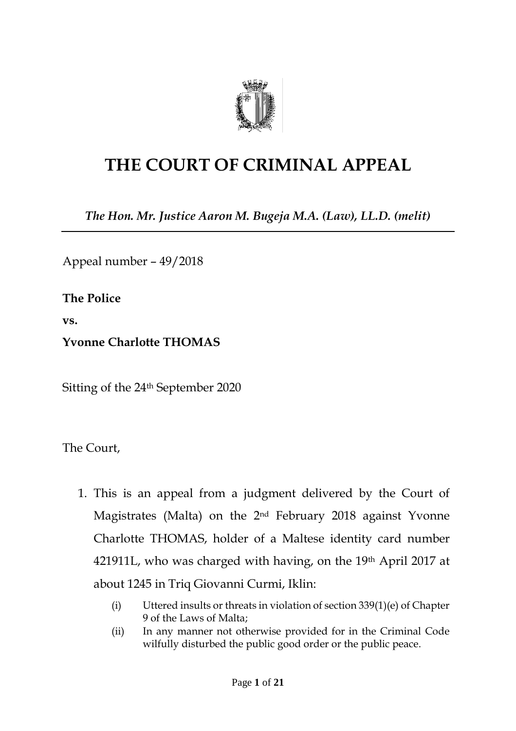

# **THE COURT OF CRIMINAL APPEAL**

*The Hon. Mr. Justice Aaron M. Bugeja M.A. (Law), LL.D. (melit)*

Appeal number – 49/2018

**The Police**

**vs.**

**Yvonne Charlotte THOMAS**

Sitting of the 24th September 2020

The Court,

- 1. This is an appeal from a judgment delivered by the Court of Magistrates (Malta) on the 2nd February 2018 against Yvonne Charlotte THOMAS, holder of a Maltese identity card number 421911L, who was charged with having, on the  $19<sup>th</sup>$  April 2017 at about 1245 in Triq Giovanni Curmi, Iklin:
	- (i) Uttered insults or threats in violation of section 339(1)(e) of Chapter 9 of the Laws of Malta;
	- (ii) In any manner not otherwise provided for in the Criminal Code wilfully disturbed the public good order or the public peace.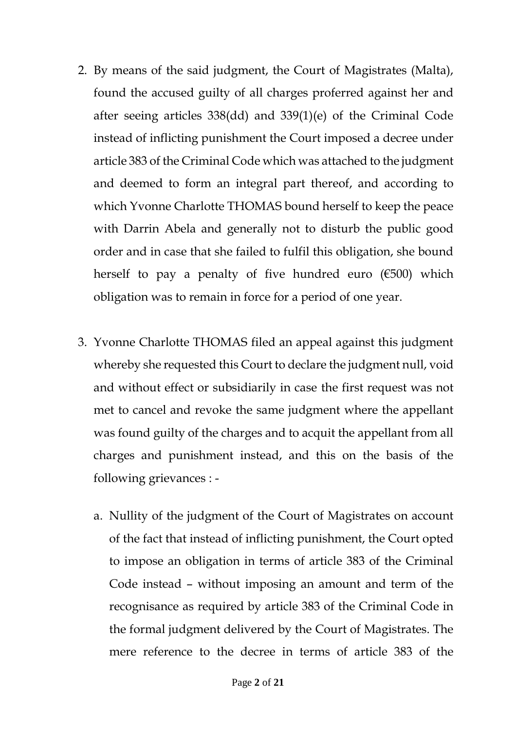- 2. By means of the said judgment, the Court of Magistrates (Malta), found the accused guilty of all charges proferred against her and after seeing articles 338(dd) and 339(1)(e) of the Criminal Code instead of inflicting punishment the Court imposed a decree under article 383 of the Criminal Code which was attached to the judgment and deemed to form an integral part thereof, and according to which Yvonne Charlotte THOMAS bound herself to keep the peace with Darrin Abela and generally not to disturb the public good order and in case that she failed to fulfil this obligation, she bound herself to pay a penalty of five hundred euro  $(6500)$  which obligation was to remain in force for a period of one year.
- 3. Yvonne Charlotte THOMAS filed an appeal against this judgment whereby she requested this Court to declare the judgment null, void and without effect or subsidiarily in case the first request was not met to cancel and revoke the same judgment where the appellant was found guilty of the charges and to acquit the appellant from all charges and punishment instead, and this on the basis of the following grievances :
	- a. Nullity of the judgment of the Court of Magistrates on account of the fact that instead of inflicting punishment, the Court opted to impose an obligation in terms of article 383 of the Criminal Code instead – without imposing an amount and term of the recognisance as required by article 383 of the Criminal Code in the formal judgment delivered by the Court of Magistrates. The mere reference to the decree in terms of article 383 of the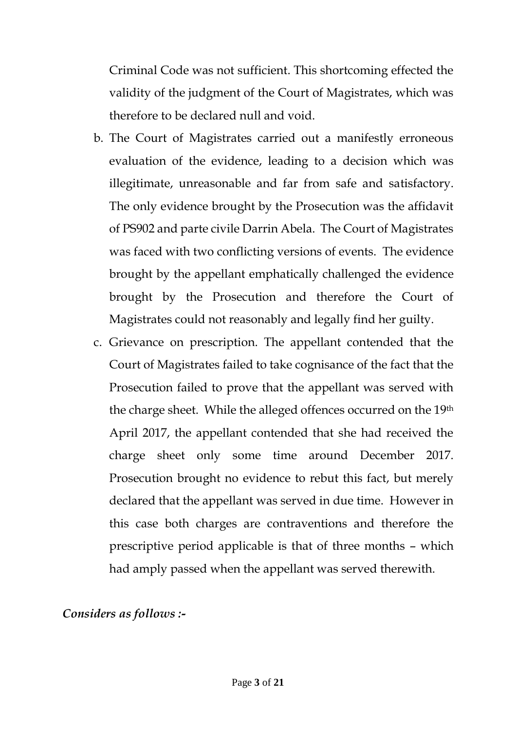Criminal Code was not sufficient. This shortcoming effected the validity of the judgment of the Court of Magistrates, which was therefore to be declared null and void.

- b. The Court of Magistrates carried out a manifestly erroneous evaluation of the evidence, leading to a decision which was illegitimate, unreasonable and far from safe and satisfactory. The only evidence brought by the Prosecution was the affidavit of PS902 and parte civile Darrin Abela. The Court of Magistrates was faced with two conflicting versions of events. The evidence brought by the appellant emphatically challenged the evidence brought by the Prosecution and therefore the Court of Magistrates could not reasonably and legally find her guilty.
- c. Grievance on prescription. The appellant contended that the Court of Magistrates failed to take cognisance of the fact that the Prosecution failed to prove that the appellant was served with the charge sheet. While the alleged offences occurred on the 19th April 2017, the appellant contended that she had received the charge sheet only some time around December 2017. Prosecution brought no evidence to rebut this fact, but merely declared that the appellant was served in due time. However in this case both charges are contraventions and therefore the prescriptive period applicable is that of three months – which had amply passed when the appellant was served therewith.

*Considers as follows :-*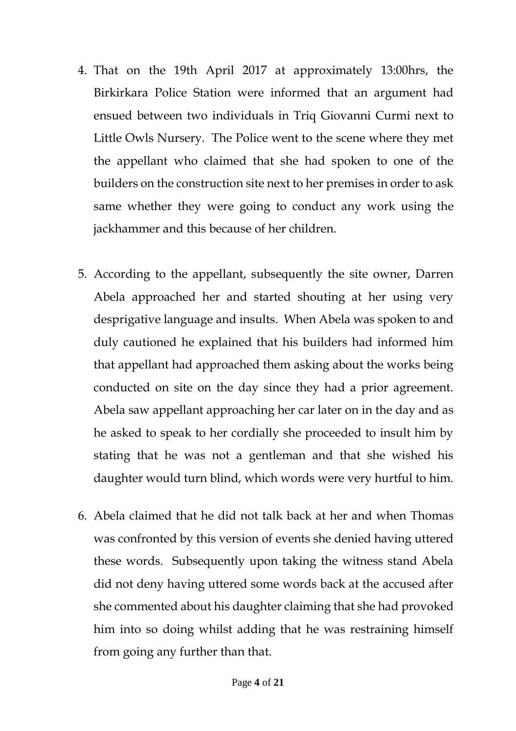- 4. That on the 19th April 2017 at approximately 13:00hrs, the Birkirkara Police Station were informed that an argument had ensued between two individuals in Triq Giovanni Curmi next to Little Owls Nursery. The Police went to the scene where they met the appellant who claimed that she had spoken to one of the builders on the construction site next to her premises in order to ask same whether they were going to conduct any work using the jackhammer and this because of her children.
- 5. According to the appellant, subsequently the site owner, Darren Abela approached her and started shouting at her using very desprigative language and insults. When Abela was spoken to and duly cautioned he explained that his builders had informed him that appellant had approached them asking about the works being conducted on site on the day since they had a prior agreement. Abela saw appellant approaching her car later on in the day and as he asked to speak to her cordially she proceeded to insult him by stating that he was not a gentleman and that she wished his daughter would turn blind, which words were very hurtful to him.
- 6. Abela claimed that he did not talk back at her and when Thomas was confronted by this version of events she denied having uttered these words. Subsequently upon taking the witness stand Abela did not deny having uttered some words back at the accused after she commented about his daughter claiming that she had provoked him into so doing whilst adding that he was restraining himself from going any further than that.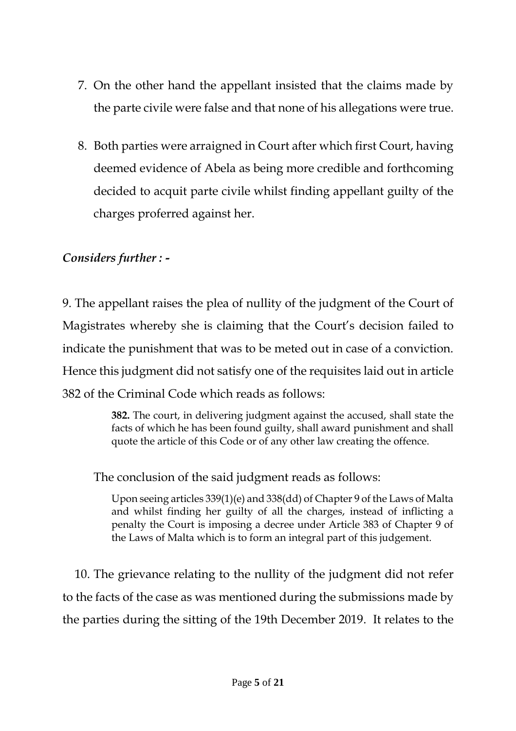- 7. On the other hand the appellant insisted that the claims made by the parte civile were false and that none of his allegations were true.
- 8. Both parties were arraigned in Court after which first Court, having deemed evidence of Abela as being more credible and forthcoming decided to acquit parte civile whilst finding appellant guilty of the charges proferred against her.

## *Considers further : -*

9. The appellant raises the plea of nullity of the judgment of the Court of Magistrates whereby she is claiming that the Court's decision failed to indicate the punishment that was to be meted out in case of a conviction. Hence this judgment did not satisfy one of the requisites laid out in article 382 of the Criminal Code which reads as follows:

> **382.** The court, in delivering judgment against the accused, shall state the facts of which he has been found guilty, shall award punishment and shall quote the article of this Code or of any other law creating the offence.

The conclusion of the said judgment reads as follows:

Upon seeing articles 339(1)(e) and 338(dd) of Chapter 9 of the Laws of Malta and whilst finding her guilty of all the charges, instead of inflicting a penalty the Court is imposing a decree under Article 383 of Chapter 9 of the Laws of Malta which is to form an integral part of this judgement.

10. The grievance relating to the nullity of the judgment did not refer to the facts of the case as was mentioned during the submissions made by the parties during the sitting of the 19th December 2019. It relates to the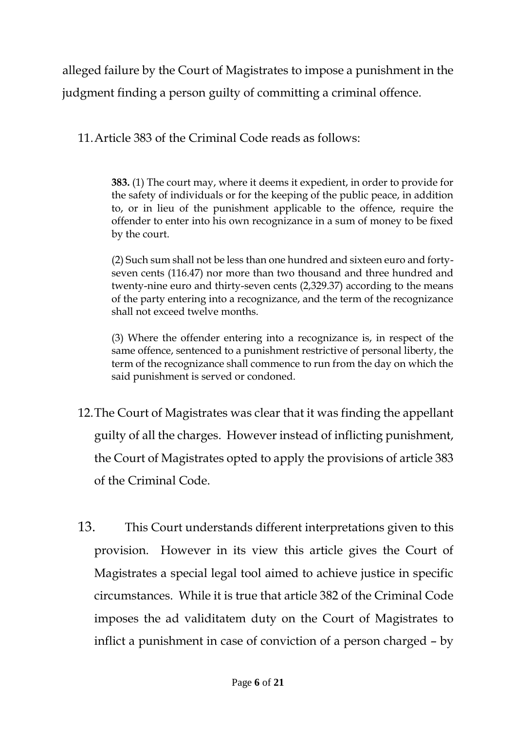alleged failure by the Court of Magistrates to impose a punishment in the judgment finding a person guilty of committing a criminal offence.

11.Article 383 of the Criminal Code reads as follows:

**383.** (1) The court may, where it deems it expedient, in order to provide for the safety of individuals or for the keeping of the public peace, in addition to, or in lieu of the punishment applicable to the offence, require the offender to enter into his own recognizance in a sum of money to be fixed by the court.

(2) Such sum shall not be less than one hundred and sixteen euro and fortyseven cents (116.47) nor more than two thousand and three hundred and twenty-nine euro and thirty-seven cents (2,329.37) according to the means of the party entering into a recognizance, and the term of the recognizance shall not exceed twelve months.

(3) Where the offender entering into a recognizance is, in respect of the same offence, sentenced to a punishment restrictive of personal liberty, the term of the recognizance shall commence to run from the day on which the said punishment is served or condoned.

- 12.The Court of Magistrates was clear that it was finding the appellant guilty of all the charges. However instead of inflicting punishment, the Court of Magistrates opted to apply the provisions of article 383 of the Criminal Code.
- 13. This Court understands different interpretations given to this provision. However in its view this article gives the Court of Magistrates a special legal tool aimed to achieve justice in specific circumstances. While it is true that article 382 of the Criminal Code imposes the ad validitatem duty on the Court of Magistrates to inflict a punishment in case of conviction of a person charged – by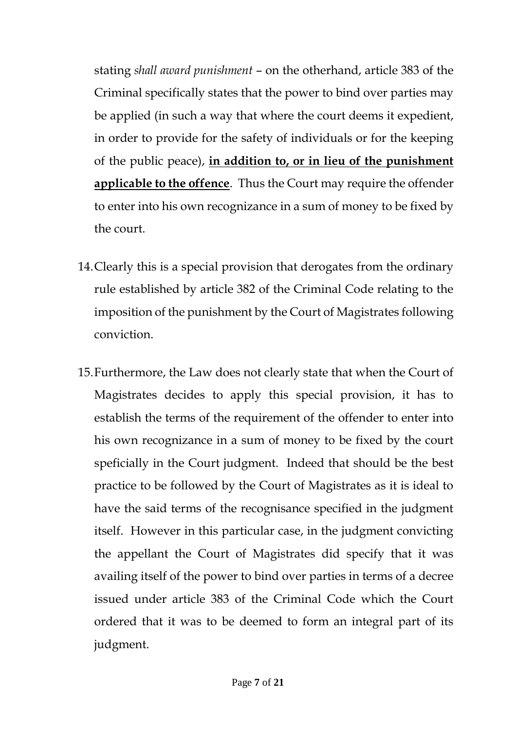stating *shall award punishment* – on the otherhand, article 383 of the Criminal specifically states that the power to bind over parties may be applied (in such a way that where the court deems it expedient, in order to provide for the safety of individuals or for the keeping of the public peace), **in addition to, or in lieu of the punishment applicable to the offence**. Thus the Court may require the offender to enter into his own recognizance in a sum of money to be fixed by the court.

- 14.Clearly this is a special provision that derogates from the ordinary rule established by article 382 of the Criminal Code relating to the imposition of the punishment by the Court of Magistrates following conviction.
- 15.Furthermore, the Law does not clearly state that when the Court of Magistrates decides to apply this special provision, it has to establish the terms of the requirement of the offender to enter into his own recognizance in a sum of money to be fixed by the court speficially in the Court judgment. Indeed that should be the best practice to be followed by the Court of Magistrates as it is ideal to have the said terms of the recognisance specified in the judgment itself. However in this particular case, in the judgment convicting the appellant the Court of Magistrates did specify that it was availing itself of the power to bind over parties in terms of a decree issued under article 383 of the Criminal Code which the Court ordered that it was to be deemed to form an integral part of its judgment.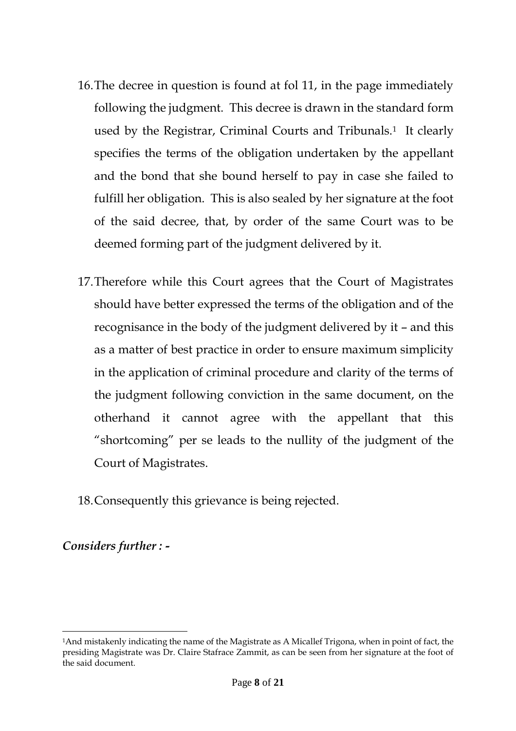- 16.The decree in question is found at fol 11, in the page immediately following the judgment. This decree is drawn in the standard form used by the Registrar, Criminal Courts and Tribunals.<sup>1</sup> It clearly specifies the terms of the obligation undertaken by the appellant and the bond that she bound herself to pay in case she failed to fulfill her obligation. This is also sealed by her signature at the foot of the said decree, that, by order of the same Court was to be deemed forming part of the judgment delivered by it.
- 17.Therefore while this Court agrees that the Court of Magistrates should have better expressed the terms of the obligation and of the recognisance in the body of the judgment delivered by it – and this as a matter of best practice in order to ensure maximum simplicity in the application of criminal procedure and clarity of the terms of the judgment following conviction in the same document, on the otherhand it cannot agree with the appellant that this "shortcoming" per se leads to the nullity of the judgment of the Court of Magistrates.
- 18.Consequently this grievance is being rejected.

*Considers further : -*

 $\overline{a}$ 

<sup>1</sup>And mistakenly indicating the name of the Magistrate as A Micallef Trigona, when in point of fact, the presiding Magistrate was Dr. Claire Stafrace Zammit, as can be seen from her signature at the foot of the said document.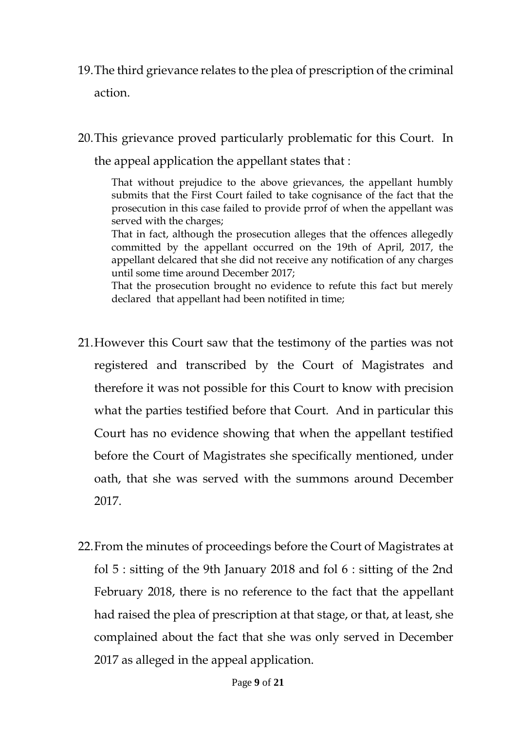- 19.The third grievance relates to the plea of prescription of the criminal action.
- 20.This grievance proved particularly problematic for this Court. In the appeal application the appellant states that :

That without prejudice to the above grievances, the appellant humbly submits that the First Court failed to take cognisance of the fact that the prosecution in this case failed to provide prrof of when the appellant was served with the charges;

That in fact, although the prosecution alleges that the offences allegedly committed by the appellant occurred on the 19th of April, 2017, the appellant delcared that she did not receive any notification of any charges until some time around December 2017;

That the prosecution brought no evidence to refute this fact but merely declared that appellant had been notifited in time;

- 21.However this Court saw that the testimony of the parties was not registered and transcribed by the Court of Magistrates and therefore it was not possible for this Court to know with precision what the parties testified before that Court. And in particular this Court has no evidence showing that when the appellant testified before the Court of Magistrates she specifically mentioned, under oath, that she was served with the summons around December 2017.
- 22.From the minutes of proceedings before the Court of Magistrates at fol 5 : sitting of the 9th January 2018 and fol 6 : sitting of the 2nd February 2018, there is no reference to the fact that the appellant had raised the plea of prescription at that stage, or that, at least, she complained about the fact that she was only served in December 2017 as alleged in the appeal application.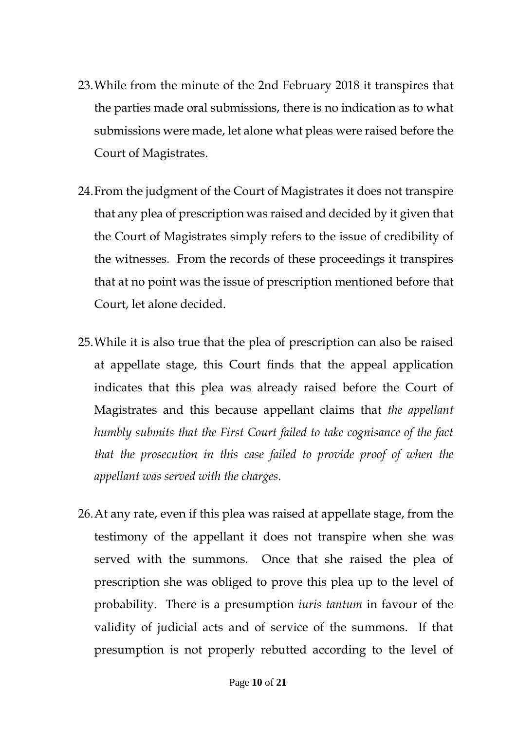- 23.While from the minute of the 2nd February 2018 it transpires that the parties made oral submissions, there is no indication as to what submissions were made, let alone what pleas were raised before the Court of Magistrates.
- 24.From the judgment of the Court of Magistrates it does not transpire that any plea of prescription was raised and decided by it given that the Court of Magistrates simply refers to the issue of credibility of the witnesses. From the records of these proceedings it transpires that at no point was the issue of prescription mentioned before that Court, let alone decided.
- 25.While it is also true that the plea of prescription can also be raised at appellate stage, this Court finds that the appeal application indicates that this plea was already raised before the Court of Magistrates and this because appellant claims that *the appellant humbly submits that the First Court failed to take cognisance of the fact that the prosecution in this case failed to provide proof of when the appellant was served with the charges.*
- 26.At any rate, even if this plea was raised at appellate stage, from the testimony of the appellant it does not transpire when she was served with the summons. Once that she raised the plea of prescription she was obliged to prove this plea up to the level of probability. There is a presumption *iuris tantum* in favour of the validity of judicial acts and of service of the summons. If that presumption is not properly rebutted according to the level of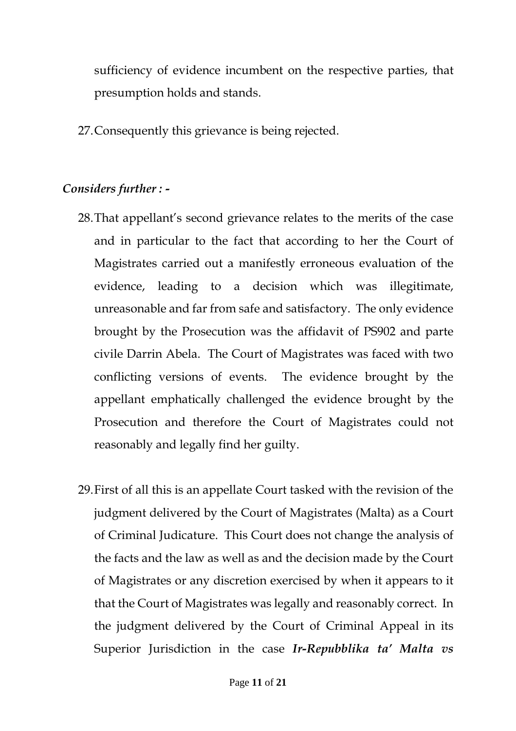sufficiency of evidence incumbent on the respective parties, that presumption holds and stands.

27.Consequently this grievance is being rejected.

# *Considers further : -*

- 28.That appellant's second grievance relates to the merits of the case and in particular to the fact that according to her the Court of Magistrates carried out a manifestly erroneous evaluation of the evidence, leading to a decision which was illegitimate, unreasonable and far from safe and satisfactory. The only evidence brought by the Prosecution was the affidavit of PS902 and parte civile Darrin Abela. The Court of Magistrates was faced with two conflicting versions of events. The evidence brought by the appellant emphatically challenged the evidence brought by the Prosecution and therefore the Court of Magistrates could not reasonably and legally find her guilty.
- 29.First of all this is an appellate Court tasked with the revision of the judgment delivered by the Court of Magistrates (Malta) as a Court of Criminal Judicature. This Court does not change the analysis of the facts and the law as well as and the decision made by the Court of Magistrates or any discretion exercised by when it appears to it that the Court of Magistrates was legally and reasonably correct. In the judgment delivered by the Court of Criminal Appeal in its Superior Jurisdiction in the case *Ir-Repubblika ta' Malta vs*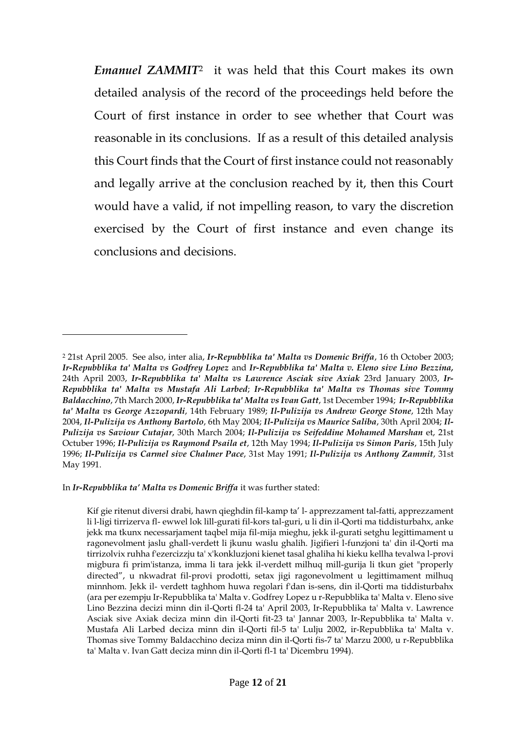*Emanuel ZAMMIT*<sup>2</sup> it was held that this Court makes its own detailed analysis of the record of the proceedings held before the Court of first instance in order to see whether that Court was reasonable in its conclusions. If as a result of this detailed analysis this Court finds that the Court of first instance could not reasonably and legally arrive at the conclusion reached by it, then this Court would have a valid, if not impelling reason, to vary the discretion exercised by the Court of first instance and even change its conclusions and decisions.

In *Ir-Repubblika ta' Malta vs Domenic Briffa* it was further stated:

 $\overline{a}$ 

<sup>2</sup> 21st April 2005. See also, inter alia, *Ir-Repubblika ta' Malta vs Domenic Briffa*, 16 th October 2003; *Ir-Repubblika ta' Malta vs Godfrey Lopez* and *Ir-Repubblika ta' Malta v. Eleno sive Lino Bezzina,* 24th April 2003, *Ir-Repubblika ta' Malta vs Lawrence Asciak sive Axiak* 23rd January 2003, *Ir-Repubblika ta' Malta vs Mustafa Ali Larbed*; *Ir-Repubblika ta' Malta vs Thomas sive Tommy Baldacchino*, 7th March 2000, *Ir-Repubblika ta' Malta vs Ivan Gatt*, 1st December 1994; *Ir-Repubblika ta' Malta vs George Azzopardi*, 14th February 1989; *Il-Pulizija vs Andrew George Stone*, 12th May 2004, *Il-Pulizija vs Anthony Bartolo*, 6th May 2004; *Il-Pulizija vs Maurice Saliba*, 30th April 2004; *Il-Pulizija vs Saviour Cutajar*, 30th March 2004; *Il-Pulizija vs Seifeddine Mohamed Marshan* et, 21st Octuber 1996; *Il-Pulizija vs Raymond Psaila et*, 12th May 1994; *Il-Pulizija vs Simon Paris*, 15th July 1996; *Il-Pulizija vs Carmel sive Chalmer Pace*, 31st May 1991; *Il-Pulizija vs Anthony Zammit*, 31st May 1991.

Kif gie ritenut diversi drabi, hawn qieghdin fil-kamp ta' l- apprezzament tal-fatti, apprezzament li l-ligi tirrizerva fl- ewwel lok lill-gurati fil-kors tal-guri, u li din il-Qorti ma tiddisturbahx, anke jekk ma tkunx necessarjament taqbel mija fil-mija mieghu, jekk il-gurati setghu legittimament u ragonevolment jaslu ghall-verdett li jkunu waslu ghalih. Jigifieri l-funzjoni ta' din il-Qorti ma tirrizolvix ruhha f'ezercizzju ta' x'konkluzjoni kienet tasal ghaliha hi kieku kellha tevalwa l-provi migbura fi prim'istanza, imma li tara jekk il-verdett milhuq mill-gurija li tkun giet "properly directed", u nkwadrat fil-provi prodotti, setax jigi ragonevolment u legittimament milhuq minnhom. Jekk il- verdett taghhom huwa regolari f'dan is-sens, din il-Qorti ma tiddisturbahx (ara per ezempju Ir-Repubblika ta' Malta v. Godfrey Lopez u r-Repubblika ta' Malta v. Eleno sive Lino Bezzina decizi minn din il-Qorti fl-24 ta' April 2003, Ir-Repubblika ta' Malta v. Lawrence Asciak sive Axiak deciza minn din il-Qorti fit-23 ta' Jannar 2003, Ir-Repubblika ta' Malta v. Mustafa Ali Larbed deciza minn din il-Qorti fil-5 ta' Lulju 2002, ir-Repubblika ta' Malta v. Thomas sive Tommy Baldacchino deciza minn din il-Qorti fis-7 ta' Marzu 2000, u r-Repubblika ta' Malta v. Ivan Gatt deciza minn din il-Qorti fl-1 ta' Dicembru 1994).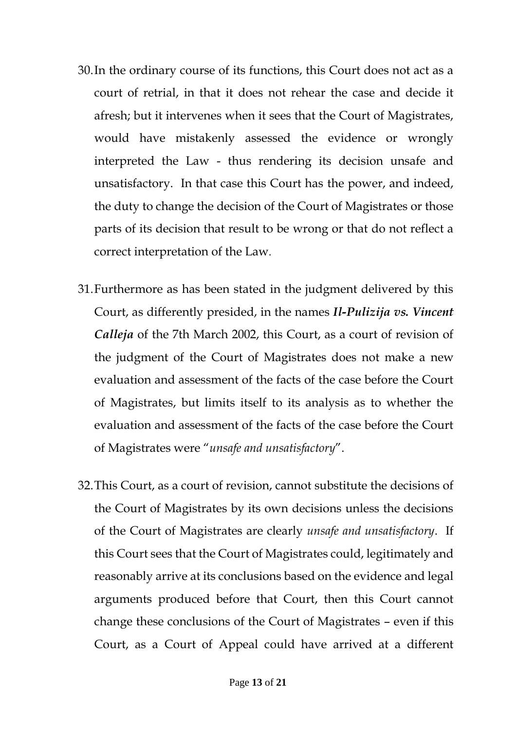- 30.In the ordinary course of its functions, this Court does not act as a court of retrial, in that it does not rehear the case and decide it afresh; but it intervenes when it sees that the Court of Magistrates, would have mistakenly assessed the evidence or wrongly interpreted the Law - thus rendering its decision unsafe and unsatisfactory. In that case this Court has the power, and indeed, the duty to change the decision of the Court of Magistrates or those parts of its decision that result to be wrong or that do not reflect a correct interpretation of the Law.
- 31.Furthermore as has been stated in the judgment delivered by this Court, as differently presided, in the names *Il-Pulizija vs. Vincent Calleja* of the 7th March 2002, this Court, as a court of revision of the judgment of the Court of Magistrates does not make a new evaluation and assessment of the facts of the case before the Court of Magistrates, but limits itself to its analysis as to whether the evaluation and assessment of the facts of the case before the Court of Magistrates were "*unsafe and unsatisfactory*".
- 32.This Court, as a court of revision, cannot substitute the decisions of the Court of Magistrates by its own decisions unless the decisions of the Court of Magistrates are clearly *unsafe and unsatisfactory*. If this Court sees that the Court of Magistrates could, legitimately and reasonably arrive at its conclusions based on the evidence and legal arguments produced before that Court, then this Court cannot change these conclusions of the Court of Magistrates – even if this Court, as a Court of Appeal could have arrived at a different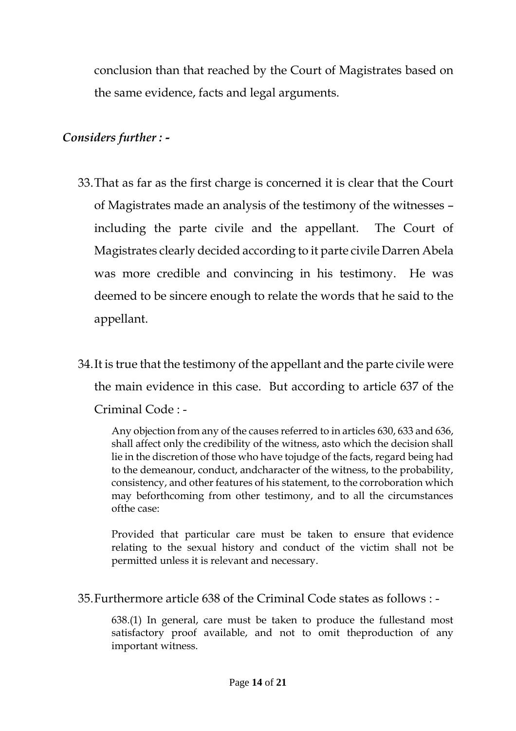conclusion than that reached by the Court of Magistrates based on the same evidence, facts and legal arguments.

## *Considers further : -*

- 33.That as far as the first charge is concerned it is clear that the Court of Magistrates made an analysis of the testimony of the witnesses – including the parte civile and the appellant. The Court of Magistrates clearly decided according to it parte civile Darren Abela was more credible and convincing in his testimony. He was deemed to be sincere enough to relate the words that he said to the appellant.
- 34.It is true that the testimony of the appellant and the parte civile were the main evidence in this case. But according to article 637 of the Criminal Code : -

Any objection from any of the causes referred to in articles 630, 633 and 636, shall affect only the credibility of the witness, asto which the decision shall lie in the discretion of those who have tojudge of the facts, regard being had to the demeanour, conduct, andcharacter of the witness, to the probability, consistency, and other features of his statement, to the corroboration which may beforthcoming from other testimony, and to all the circumstances ofthe case:

Provided that particular care must be taken to ensure that evidence relating to the sexual history and conduct of the victim shall not be permitted unless it is relevant and necessary.

35.Furthermore article 638 of the Criminal Code states as follows : -

638.(1) In general, care must be taken to produce the fullestand most satisfactory proof available, and not to omit theproduction of any important witness.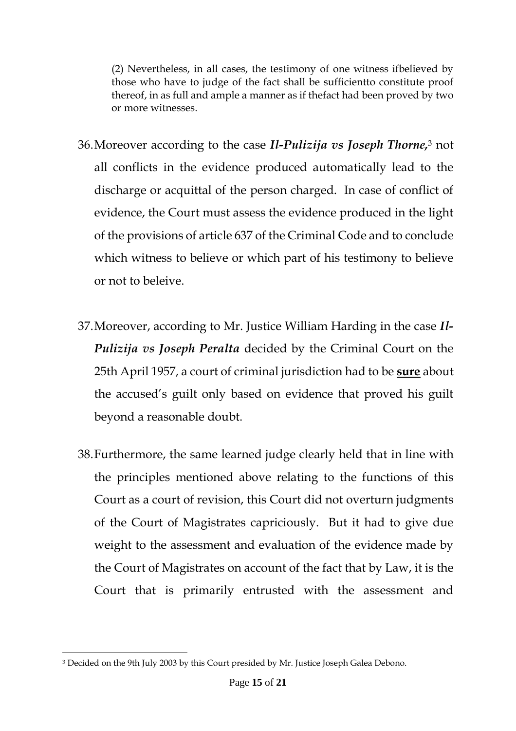(2) Nevertheless, in all cases, the testimony of one witness ifbelieved by those who have to judge of the fact shall be sufficientto constitute proof thereof, in as full and ample a manner as if thefact had been proved by two or more witnesses.

- 36.Moreover according to the case *Il-Pulizija vs Joseph Thorne,*<sup>3</sup> not all conflicts in the evidence produced automatically lead to the discharge or acquittal of the person charged. In case of conflict of evidence, the Court must assess the evidence produced in the light of the provisions of article 637 of the Criminal Code and to conclude which witness to believe or which part of his testimony to believe or not to beleive.
- 37.Moreover, according to Mr. Justice William Harding in the case *Il-Pulizija vs Joseph Peralta* decided by the Criminal Court on the 25th April 1957, a court of criminal jurisdiction had to be **sure** about the accused's guilt only based on evidence that proved his guilt beyond a reasonable doubt.
- 38.Furthermore, the same learned judge clearly held that in line with the principles mentioned above relating to the functions of this Court as a court of revision, this Court did not overturn judgments of the Court of Magistrates capriciously. But it had to give due weight to the assessment and evaluation of the evidence made by the Court of Magistrates on account of the fact that by Law, it is the Court that is primarily entrusted with the assessment and

 $\overline{a}$ <sup>3</sup> Decided on the 9th July 2003 by this Court presided by Mr. Justice Joseph Galea Debono.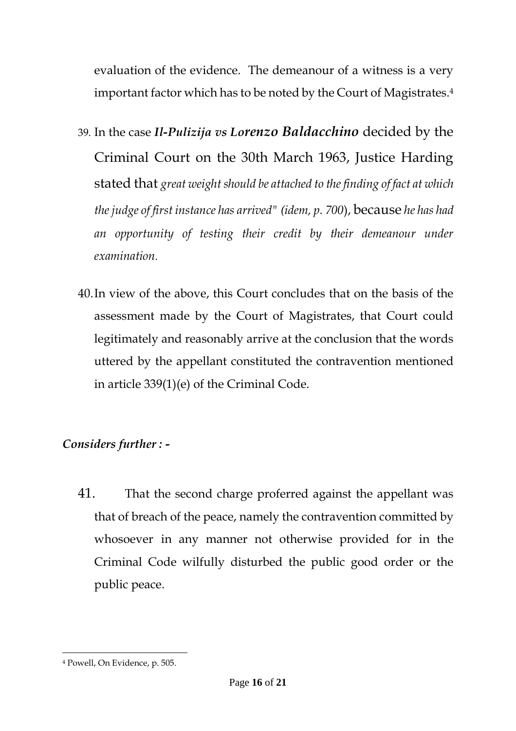evaluation of the evidence. The demeanour of a witness is a very important factor which has to be noted by the Court of Magistrates.<sup>4</sup>

- 39. In the case *Il-Pulizija vs Lorenzo Baldacchino* decided by the Criminal Court on the 30th March 1963, Justice Harding stated that *great weight should be attached to the finding of fact at which the judge of first instance has arrived" (idem, p. 700*), because *he has had an opportunity of testing their credit by their demeanour under examination*.
- 40.In view of the above, this Court concludes that on the basis of the assessment made by the Court of Magistrates, that Court could legitimately and reasonably arrive at the conclusion that the words uttered by the appellant constituted the contravention mentioned in article 339(1)(e) of the Criminal Code.

# *Considers further : -*

41. That the second charge proferred against the appellant was that of breach of the peace, namely the contravention committed by whosoever in any manner not otherwise provided for in the Criminal Code wilfully disturbed the public good order or the public peace.

 $\overline{a}$ <sup>4</sup> Powell, On Evidence, p. 505.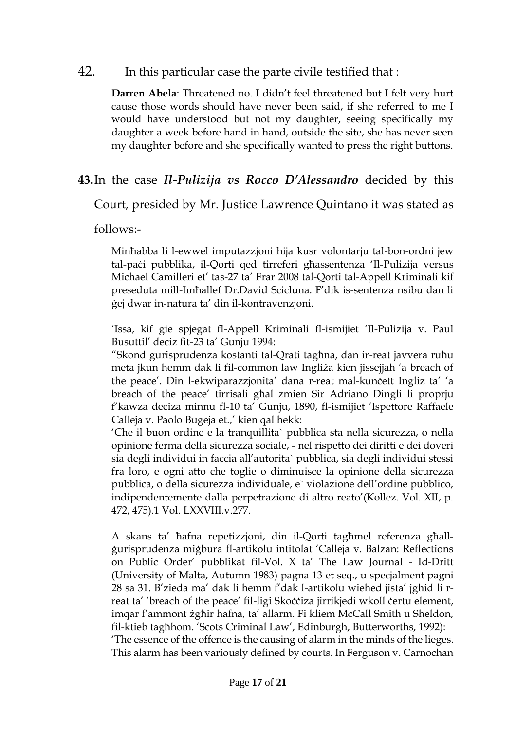#### 42. In this particular case the parte civile testified that :

**Darren Abela**: Threatened no. I didn't feel threatened but I felt very hurt cause those words should have never been said, if she referred to me I would have understood but not my daughter, seeing specifically my daughter a week before hand in hand, outside the site, she has never seen my daughter before and she specifically wanted to press the right buttons.

#### **43.**In the case *Il-Pulizija vs Rocco D'Alessandro* decided by this

Court, presided by Mr. Justice Lawrence Quintano it was stated as

follows:-

Minħabba li l-ewwel imputazzjoni hija kusr volontarju tal-bon-ordni jew tal-paċi pubblika, il-Qorti qed tirreferi għassentenza 'Il-Pulizija versus Michael Camilleri et' tas-27 ta' Frar 2008 tal-Qorti tal-Appell Kriminali kif preseduta mill-Imħallef Dr.David Scicluna. F'dik is-sentenza nsibu dan li ġej dwar in-natura ta' din il-kontravenzjoni.

'Issa, kif gie spjegat fl-Appell Kriminali fl-ismijiet 'Il-Pulizija v. Paul Busuttil' deciz fit-23 ta' Gunju 1994:

"Skond gurisprudenza kostanti tal-Qrati tagħna, dan ir-reat javvera ruħu meta jkun hemm dak li fil-common law Ingliża kien jissejjah 'a breach of the peace'. Din l-ekwiparazzjonita' dana r-reat mal-kunċett Ingliz ta' 'a breach of the peace' tirrisali għal zmien Sir Adriano Dingli li proprju f'kawza deciza minnu fl-10 ta' Gunju, 1890, fl-ismijiet 'Ispettore Raffaele Calleja v. Paolo Bugeja et.,' kien qal hekk:

'Che il buon ordine e la tranquillita` pubblica sta nella sicurezza, o nella opinione ferma della sicurezza sociale, - nel rispetto dei diritti e dei doveri sia degli individui in faccia all'autorita` pubblica, sia degli individui stessi fra loro, e ogni atto che toglie o diminuisce la opinione della sicurezza pubblica, o della sicurezza individuale, e` violazione dell'ordine pubblico, indipendentemente dalla perpetrazione di altro reato'(Kollez. Vol. XII, p. 472, 475).1 Vol. LXXVIII.v.277.

A skans ta' ħafna repetizzjoni, din il-Qorti tagħmel referenza għallġurisprudenza miġbura fl-artikolu intitolat 'Calleja v. Balzan: Reflections on Public Order' pubblikat fil-Vol. X ta' The Law Journal - Id-Dritt (University of Malta, Autumn 1983) pagna 13 et seq., u specjalment pagni 28 sa 31. B'zieda ma' dak li hemm f'dak l-artikolu wiehed jista' jghid li rreat ta' 'breach of the peace' fil-ligi Skoċċiza jirrikjedi wkoll ċertu element, imqar f'ammont żgħir hafna, ta' allarm. Fi kliem McCall Smith u Sheldon, fil-ktieb tagħhom. 'Scots Criminal Law', Edinburgh, Butterworths, 1992): 'The essence of the offence is the causing of alarm in the minds of the lieges. This alarm has been variously defined by courts. In Ferguson v. Carnochan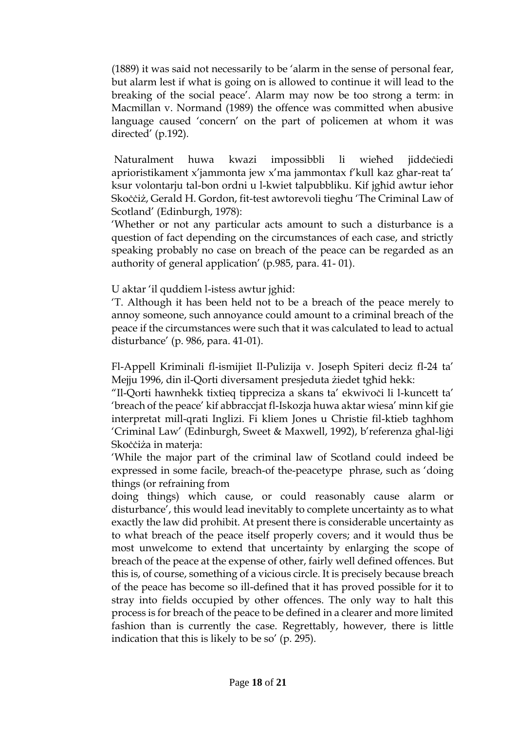(1889) it was said not necessarily to be 'alarm in the sense of personal fear, but alarm lest if what is going on is allowed to continue it will lead to the breaking of the social peace'. Alarm may now be too strong a term: in Macmillan v. Normand (1989) the offence was committed when abusive language caused 'concern' on the part of policemen at whom it was directed' (p.192).

Naturalment huwa kwazi impossibbli li wieħed jiddeċiedi aprioristikament x'jammonta jew x'ma jammontax f'kull kaz għar-reat ta' ksur volontarju tal-bon ordni u l-kwiet talpubbliku. Kif jgħid awtur ieħor Skoċċiż, Gerald H. Gordon, fit-test awtorevoli tiegħu 'The Criminal Law of Scotland' (Edinburgh, 1978):

'Whether or not any particular acts amount to such a disturbance is a question of fact depending on the circumstances of each case, and strictly speaking probably no case on breach of the peace can be regarded as an authority of general application' (p.985, para. 41- 01).

U aktar 'il quddiem l-istess awtur jghid:

'T. Although it has been held not to be a breach of the peace merely to annoy someone, such annoyance could amount to a criminal breach of the peace if the circumstances were such that it was calculated to lead to actual disturbance' (p. 986, para. 41-01).

Fl-Appell Kriminali fl-ismijiet Il-Pulizija v. Joseph Spiteri deciz fl-24 ta' Mejju 1996, din il-Qorti diversament presjeduta żiedet tgħid hekk:

"Il-Qorti hawnhekk tixtieq tippreciza a skans ta' ekwivoċi li l-kuncett ta' 'breach of the peace' kif abbraccjat fl-Iskozja huwa aktar wiesa' minn kif gie interpretat mill-qrati Inglizi. Fi kliem Jones u Christie fil-ktieb taghhom 'Criminal Law' (Edinburgh, Sweet & Maxwell, 1992), b'referenza għal-liġi Skoċċiża in materja:

'While the major part of the criminal law of Scotland could indeed be expressed in some facile, breach-of the-peacetype phrase, such as 'doing things (or refraining from

doing things) which cause, or could reasonably cause alarm or disturbance', this would lead inevitably to complete uncertainty as to what exactly the law did prohibit. At present there is considerable uncertainty as to what breach of the peace itself properly covers; and it would thus be most unwelcome to extend that uncertainty by enlarging the scope of breach of the peace at the expense of other, fairly well defined offences. But this is, of course, something of a vicious circle. It is precisely because breach of the peace has become so ill-defined that it has proved possible for it to stray into fields occupied by other offences. The only way to halt this process is for breach of the peace to be defined in a clearer and more limited fashion than is currently the case. Regrettably, however, there is little indication that this is likely to be so' (p. 295).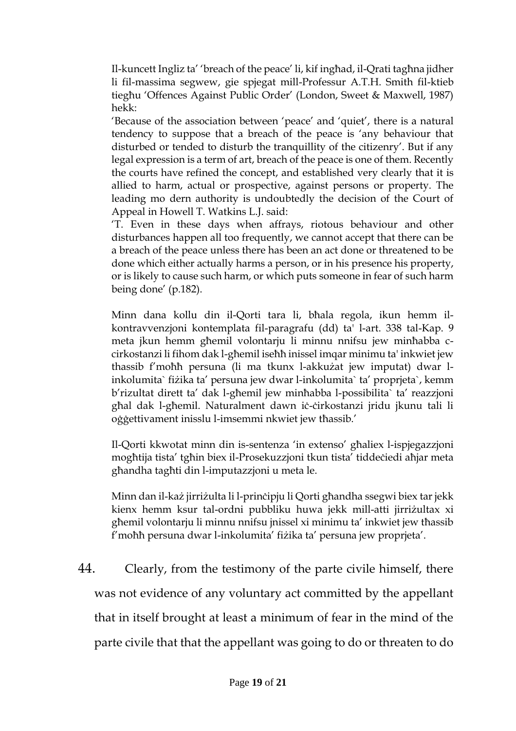Il-kuncett Ingliz ta' 'breach of the peace' li, kif ingħad, il-Qrati tagħna jidher li fil-massima segwew, gie spjegat mill-Professur A.T.H. Smith fil-ktieb tiegħu 'Offences Against Public Order' (London, Sweet & Maxwell, 1987) hekk:

'Because of the association between 'peace' and 'quiet', there is a natural tendency to suppose that a breach of the peace is 'any behaviour that disturbed or tended to disturb the tranquillity of the citizenry'. But if any legal expression is a term of art, breach of the peace is one of them. Recently the courts have refined the concept, and established very clearly that it is allied to harm, actual or prospective, against persons or property. The leading mo dern authority is undoubtedly the decision of the Court of Appeal in Howell T. Watkins L.J. said:

'T. Even in these days when affrays, riotous behaviour and other disturbances happen all too frequently, we cannot accept that there can be a breach of the peace unless there has been an act done or threatened to be done which either actually harms a person, or in his presence his property, or is likely to cause such harm, or which puts someone in fear of such harm being done' (p.182).

Minn dana kollu din il-Qorti tara li, bħala regola, ikun hemm ilkontravvenzjoni kontemplata fil-paragrafu (dd) ta' l-art. 338 tal-Kap. 9 meta jkun hemm għemil volontarju li minnu nnifsu jew minħabba ccirkostanzi li fihom dak l-għemil iseħħ inissel imqar minimu ta' inkwiet jew thassib f'moħħ persuna (li ma tkunx l-akkużat jew imputat) dwar linkolumita` fiżika ta' persuna jew dwar l-inkolumita` ta' proprjeta`, kemm b'rizultat dirett ta' dak l-għemil jew minħabba l-possibilita` ta' reazzjoni għal dak l-għemil. Naturalment dawn iċ-ċirkostanzi jridu jkunu tali li oġġettivament inisslu l-imsemmi nkwiet jew tħassib.'

Il-Qorti kkwotat minn din is-sentenza 'in extenso' għaliex l-ispjegazzjoni mogħtija tista' tgħin biex il-Prosekuzzjoni tkun tista' tiddeċiedi aħjar meta għandha tagħti din l-imputazzjoni u meta le.

Minn dan il-każ jirriżulta li l-prinċipju li Qorti għandha ssegwi biex tar jekk kienx hemm ksur tal-ordni pubbliku huwa jekk mill-atti jirriżultax xi għemil volontarju li minnu nnifsu jnissel xi minimu ta' inkwiet jew tħassib f'moħħ persuna dwar l-inkolumita' fiżika ta' persuna jew proprjeta'.

44. Clearly, from the testimony of the parte civile himself, there was not evidence of any voluntary act committed by the appellant that in itself brought at least a minimum of fear in the mind of the parte civile that that the appellant was going to do or threaten to do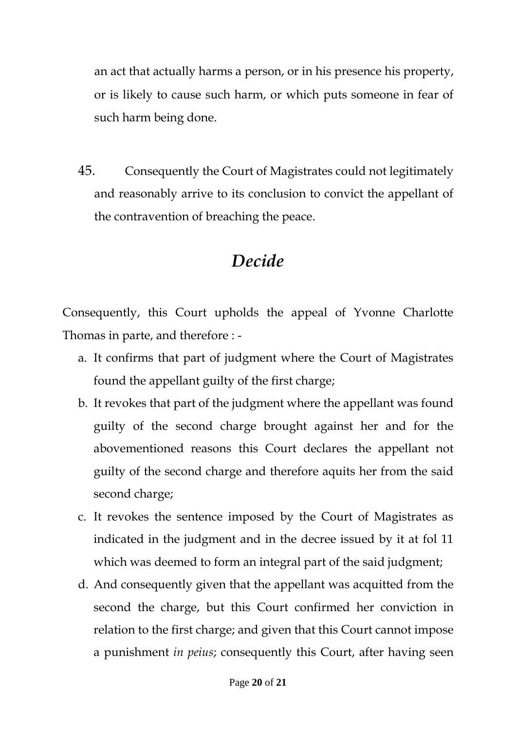an act that actually harms a person, or in his presence his property, or is likely to cause such harm, or which puts someone in fear of such harm being done.

45. Consequently the Court of Magistrates could not legitimately and reasonably arrive to its conclusion to convict the appellant of the contravention of breaching the peace.

# *Decide*

Consequently, this Court upholds the appeal of Yvonne Charlotte Thomas in parte, and therefore : -

- a. It confirms that part of judgment where the Court of Magistrates found the appellant guilty of the first charge;
- b. It revokes that part of the judgment where the appellant was found guilty of the second charge brought against her and for the abovementioned reasons this Court declares the appellant not guilty of the second charge and therefore aquits her from the said second charge;
- c. It revokes the sentence imposed by the Court of Magistrates as indicated in the judgment and in the decree issued by it at fol 11 which was deemed to form an integral part of the said judgment;
- d. And consequently given that the appellant was acquitted from the second the charge, but this Court confirmed her conviction in relation to the first charge; and given that this Court cannot impose a punishment *in peius*; consequently this Court, after having seen